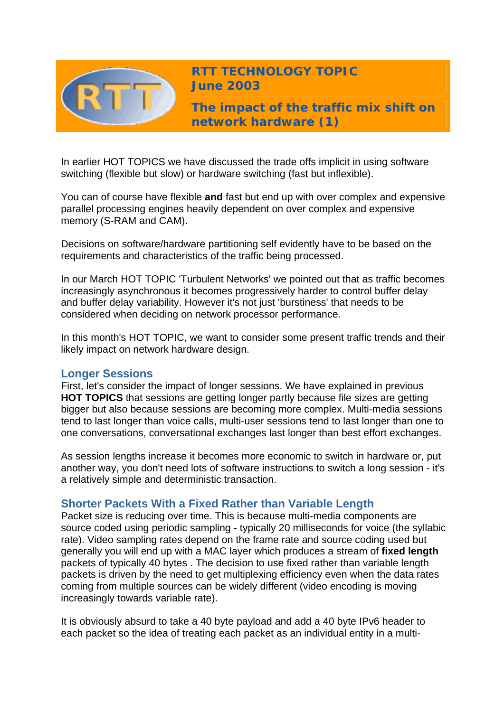

**RTT TECHNOLOGY TOPIC June 2003**

**The impact of the traffic mix shift on network hardware (1)** 

In earlier HOT TOPICS we have discussed the trade offs implicit in using software switching (flexible but slow) or hardware switching (fast but inflexible).

You can of course have flexible **and** fast but end up with over complex and expensive parallel processing engines heavily dependent on over complex and expensive memory (S-RAM and CAM).

Decisions on software/hardware partitioning self evidently have to be based on the requirements and characteristics of the traffic being processed.

In our March HOT TOPIC 'Turbulent Networks' we pointed out that as traffic becomes increasingly asynchronous it becomes progressively harder to control buffer delay and buffer delay variability. However it's not just 'burstiness' that needs to be considered when deciding on network processor performance.

In this month's HOT TOPIC, we want to consider some present traffic trends and their likely impact on network hardware design.

# **Longer Sessions**

First, let's consider the impact of longer sessions. We have explained in previous **HOT TOPICS** that sessions are getting longer partly because file sizes are getting bigger but also because sessions are becoming more complex. Multi-media sessions tend to last longer than voice calls, multi-user sessions tend to last longer than one to one conversations, conversational exchanges last longer than best effort exchanges.

As session lengths increase it becomes more economic to switch in hardware or, put another way, you don't need lots of software instructions to switch a long session - it's a relatively simple and deterministic transaction.

# **Shorter Packets With a Fixed Rather than Variable Length**

Packet size is reducing over time. This is because multi-media components are source coded using periodic sampling - typically 20 milliseconds for voice (the syllabic rate). Video sampling rates depend on the frame rate and source coding used but generally you will end up with a MAC layer which produces a stream of **fixed length** packets of typically 40 bytes . The decision to use fixed rather than variable length packets is driven by the need to get multiplexing efficiency even when the data rates coming from multiple sources can be widely different (video encoding is moving increasingly towards variable rate).

It is obviously absurd to take a 40 byte payload and add a 40 byte IPv6 header to each packet so the idea of treating each packet as an individual entity in a multi